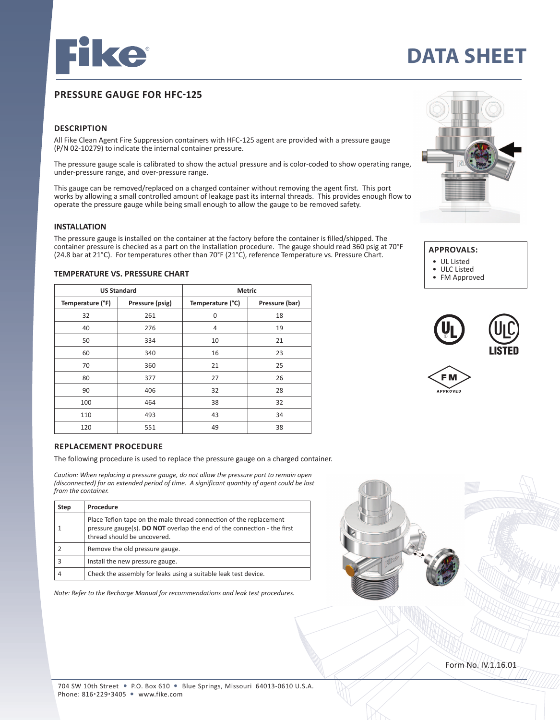

# **DATA SHEET**

# **PRESSURE GAUGE FOR HFC-125**

# **DESCRIPTION**

All Fike Clean Agent Fire Suppression containers with HFC-125 agent are provided with a pressure gauge (P/N 02-10279) to indicate the internal container pressure.

The pressure gauge scale is calibrated to show the actual pressure and is color-coded to show operating range, under-pressure range, and over-pressure range.

This gauge can be removed/replaced on a charged container without removing the agent first. This port works by allowing a small controlled amount of leakage past its internal threads. This provides enough flow to operate the pressure gauge while being small enough to allow the gauge to be removed safety.

#### **INSTALLATION**

The pressure gauge is installed on the container at the factory before the container is filled/shipped. The container pressure is checked as a part on the installation procedure. The gauge should read 360 psig at 70°F (24.8 bar at 21°C). For temperatures other than 70°F (21°C), reference Temperature vs. Pressure Chart.

| <b>US Standard</b> |                 | <b>Metric</b>    |                |
|--------------------|-----------------|------------------|----------------|
| Temperature (°F)   | Pressure (psig) | Temperature (°C) | Pressure (bar) |
| 32                 | 261             | $\Omega$         | 18             |
| 40                 | 276             | 4                | 19             |
| 50                 | 334             | 10               | 21             |
| 60                 | 340             | 16               | 23             |
| 70                 | 360             | 21               | 25             |
| 80                 | 377             | 27               | 26             |
| 90                 | 406             | 32               | 28             |
| 100                | 464             | 38               | 32             |
| 110                | 493             | 43               | 34             |
| 120                | 551             | 49               | 38             |

### **TEMPERATURE VS. PRESSURE CHART**



The following procedure is used to replace the pressure gauge on a charged container.

*Caution: When replacing a pressure gauge, do not allow the pressure port to remain open (disconnected) for an extended period of time. A significant quantity of agent could be lost from the container.*

| <b>Step</b> | Procedure                                                                                                                                                                    |
|-------------|------------------------------------------------------------------------------------------------------------------------------------------------------------------------------|
|             | Place Teflon tape on the male thread connection of the replacement<br>pressure gauge(s). DO NOT overlap the end of the connection - the first<br>thread should be uncovered. |
|             | Remove the old pressure gauge.                                                                                                                                               |
|             | Install the new pressure gauge.                                                                                                                                              |
|             | Check the assembly for leaks using a suitable leak test device.                                                                                                              |

*Note: Refer to the Recharge Manual for recommendations and leak test procedures.* 



# **APPROVALS:**

- 
- UL Listed<br>• ULC Listed • ULC Listed
- FM Approved





Form No. IV.1.16.01